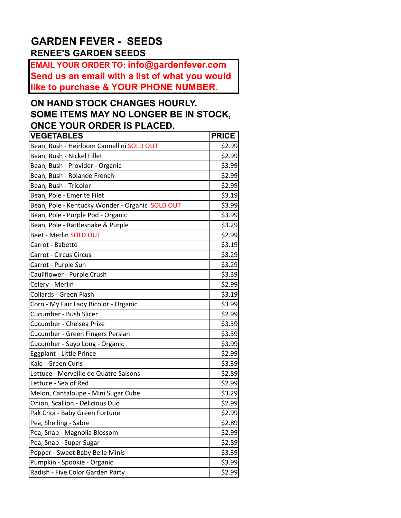## **GARDEN FEVER - SEEDS RENEE'S GARDEN SEEDS**

**EMAIL YOUR ORDER TO: info@gardenfever.com Send us an email with a list of what you would like to purchase & YOUR PHONE NUMBER.**

## **ON HAND STOCK CHANGES HOURLY. SOME ITEMS MAY NO LONGER BE IN STOCK, ONCE YOUR ORDER IS PLACED.**

| <b>VEGETABLES</b>                               | <b>PRICE</b> |
|-------------------------------------------------|--------------|
| Bean, Bush - Heirloom Cannellini SOLD OUT       | \$2.99       |
| Bean, Bush - Nickel Fillet                      | \$2.99       |
| Bean, Bush - Provider - Organic                 | \$3.99       |
| Bean, Bush - Rolande French                     | \$2.99       |
| Bean, Bush - Tricolor                           | \$2.99       |
| Bean, Pole - Emerite Filet                      | \$3.19       |
| Bean, Pole - Kentucky Wonder - Organic SOLD OUT | \$3.99       |
| Bean, Pole - Purple Pod - Organic               | \$3.99       |
| Bean, Pole - Rattlesnake & Purple               | \$3.29       |
| Beet - Merlin SOLD OUT                          | \$2.99       |
| Carrot - Babette                                | \$3.19       |
| Carrot - Circus Circus                          | \$3.29       |
| Carrot - Purple Sun                             | \$3.29       |
| Cauliflower - Purple Crush                      | \$3.39       |
| Celery - Merlin                                 | \$2.99       |
| Collards - Green Flash                          | \$3.19       |
| Corn - My Fair Lady Bicolor - Organic           | \$3.99       |
| Cucumber - Bush Slicer                          | \$2.99       |
| Cucumber - Chelsea Prize                        | \$3.39       |
| Cucumber - Green Fingers Persian                | \$3.39       |
| Cucumber - Suyo Long - Organic                  | \$3.99       |
| Eggplant - Little Prince                        | \$2.99       |
| Kale - Green Curls                              | \$3.39       |
| Lettuce - Merveille de Quatre Saisons           | \$2.89       |
| Lettuce - Sea of Red                            | \$2.99       |
| Melon, Cantaloupe - Mini Sugar Cube             | \$3.29       |
| Onion, Scallion - Delicious Duo                 | \$2.99       |
| Pak Choi - Baby Green Fortune                   | \$2.99       |
| Pea, Shelling - Sabre                           | \$2.89       |
| Pea, Snap - Magnolia Blossom                    | \$2.99       |
| Pea, Snap - Super Sugar                         | \$2.89       |
| Pepper - Sweet Baby Belle Minis                 | \$3.39       |
| Pumpkin - Spookie - Organic                     | \$3.99       |
| Radish - Five Color Garden Party                | \$2.99       |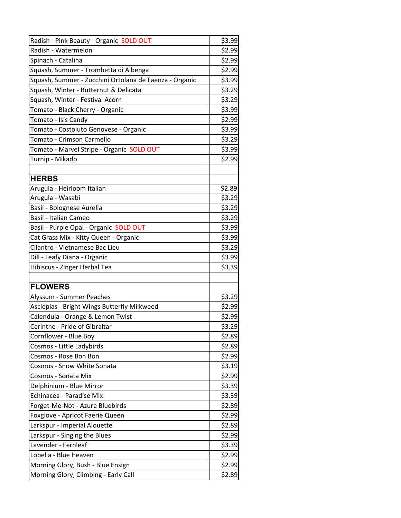| Radish - Pink Beauty - Organic SOLD OUT                | \$3.99 |
|--------------------------------------------------------|--------|
| Radish - Watermelon                                    | \$2.99 |
| Spinach - Catalina                                     | \$2.99 |
| Squash, Summer - Trombetta di Albenga                  | \$2.99 |
| Squash, Summer - Zucchini Ortolana de Faenza - Organic | \$3.99 |
| Squash, Winter - Butternut & Delicata                  | \$3.29 |
| Squash, Winter - Festival Acorn                        | \$3.29 |
| Tomato - Black Cherry - Organic                        | \$3.99 |
| Tomato - Isis Candy                                    | \$2.99 |
| Tomato - Costoluto Genovese - Organic                  | \$3.99 |
| Tomato - Crimson Carmello                              | \$3.29 |
| Tomato - Marvel Stripe - Organic SOLD OUT              | \$3.99 |
| Turnip - Mikado                                        | \$2.99 |
|                                                        |        |
| <b>HERBS</b>                                           |        |
| Arugula - Heirloom Italian                             | \$2.89 |
| Arugula - Wasabi                                       | \$3.29 |
| Basil - Bolognese Aurelia                              | \$3.29 |
| <b>Basil - Italian Cameo</b>                           | \$3.29 |
| Basil - Purple Opal - Organic SOLD OUT                 | \$3.99 |
| Cat Grass Mix - Kitty Queen - Organic                  | \$3.99 |
| Cilantro - Vietnamese Bac Lieu                         | \$3.29 |
| Dill - Leafy Diana - Organic                           | \$3.99 |
| Hibiscus - Zinger Herbal Tea                           | \$3.39 |
|                                                        |        |
| <b>FLOWERS</b>                                         |        |
| Alyssum - Summer Peaches                               | \$3.29 |
| Asclepias - Bright Wings Butterfly Milkweed            | \$2.99 |
| Calendula - Orange & Lemon Twist                       | \$2.99 |
| Cerinthe - Pride of Gibraltar                          | \$3.29 |
| Cornflower - Blue Boy                                  | \$2.89 |
| Cosmos - Little Ladybirds                              | \$2.89 |
| Cosmos - Rose Bon Bon                                  | \$2.99 |
| Cosmos - Snow White Sonata                             | \$3.19 |
| Cosmos - Sonata Mix                                    | \$2.99 |
| Delphinium - Blue Mirror                               | \$3.39 |
| Echinacea - Paradise Mix                               | \$3.39 |
| Forget-Me-Not - Azure Bluebirds                        | \$2.89 |
| Foxglove - Apricot Faerie Queen                        | \$2.99 |
| Larkspur - Imperial Alouette                           | \$2.89 |
| Larkspur - Singing the Blues                           | \$2.99 |
| Lavender - Fernleaf                                    | \$3.39 |
| Lobelia - Blue Heaven                                  | \$2.99 |
| Morning Glory, Bush - Blue Ensign                      | \$2.99 |
| Morning Glory, Climbing - Early Call                   | \$2.89 |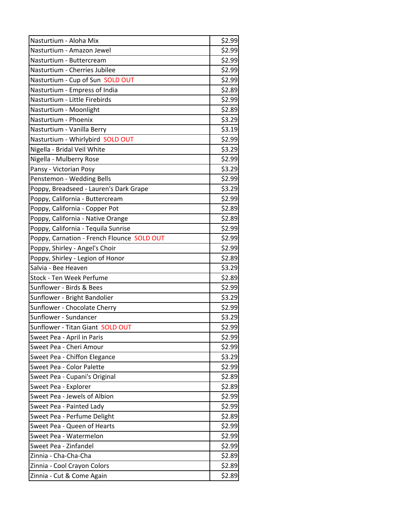| Nasturtium - Aloha Mix                     | \$2.99 |
|--------------------------------------------|--------|
| Nasturtium - Amazon Jewel                  | \$2.99 |
| Nasturtium - Buttercream                   | \$2.99 |
| Nasturtium - Cherries Jubilee              | \$2.99 |
| Nasturtium - Cup of Sun SOLD OUT           | \$2.99 |
| Nasturtium - Empress of India              | \$2.89 |
| Nasturtium - Little Firebirds              | \$2.99 |
| Nasturtium - Moonlight                     | \$2.89 |
| Nasturtium - Phoenix                       | \$3.29 |
| Nasturtium - Vanilla Berry                 | \$3.19 |
| Nasturtium - Whirlybird SOLD OUT           | \$2.99 |
| Nigella - Bridal Veil White                | \$3.29 |
| Nigella - Mulberry Rose                    | \$2.99 |
| Pansy - Victorian Posy                     | \$3.29 |
| Penstemon - Wedding Bells                  | \$2.99 |
| Poppy, Breadseed - Lauren's Dark Grape     | \$3.29 |
| Poppy, California - Buttercream            | \$2.99 |
| Poppy, California - Copper Pot             | \$2.89 |
| Poppy, California - Native Orange          | \$2.89 |
| Poppy, California - Tequila Sunrise        | \$2.99 |
| Poppy, Carnation - French Flounce SOLD OUT | \$2.99 |
| Poppy, Shirley - Angel's Choir             | \$2.99 |
| Poppy, Shirley - Legion of Honor           | \$2.89 |
| Salvia - Bee Heaven                        | \$3.29 |
| Stock - Ten Week Perfume                   | \$2.89 |
| Sunflower - Birds & Bees                   | \$2.99 |
| Sunflower - Bright Bandolier               | \$3.29 |
| Sunflower - Chocolate Cherry               | \$2.99 |
| Sunflower - Sundancer                      | \$3.29 |
| Sunflower - Titan Giant, SOLD OUT          | \$2.99 |
| Sweet Pea - April in Paris                 | \$2.99 |
| Sweet Pea - Cheri Amour                    | \$2.99 |
| Sweet Pea - Chiffon Elegance               | \$3.29 |
| Sweet Pea - Color Palette                  | \$2.99 |
| Sweet Pea - Cupani's Original              | \$2.89 |
| Sweet Pea - Explorer                       | \$2.89 |
| Sweet Pea - Jewels of Albion               | \$2.99 |
| Sweet Pea - Painted Lady                   | \$2.99 |
| Sweet Pea - Perfume Delight                | \$2.89 |
| Sweet Pea - Queen of Hearts                | \$2.99 |
| Sweet Pea - Watermelon                     | \$2.99 |
| Sweet Pea - Zinfandel                      | \$2.99 |
| Zinnia - Cha-Cha-Cha                       | \$2.89 |
| Zinnia - Cool Crayon Colors                | \$2.89 |
| Zinnia - Cut & Come Again                  | \$2.89 |